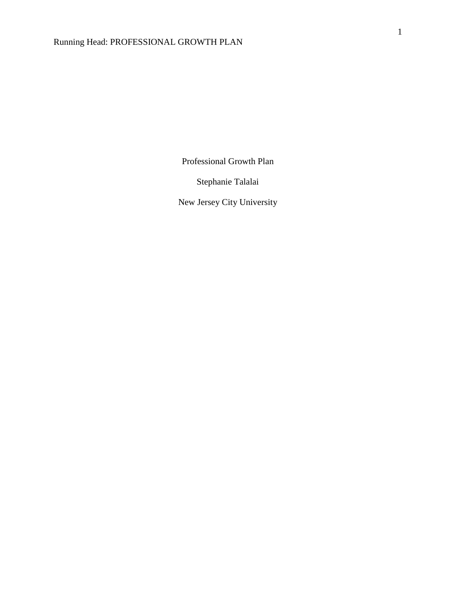Professional Growth Plan

Stephanie Talalai

New Jersey City University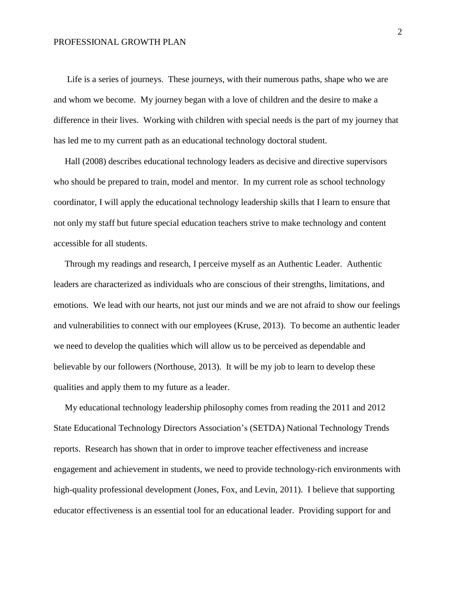## PROFESSIONAL GROWTH PLAN

 Life is a series of journeys. These journeys, with their numerous paths, shape who we are and whom we become. My journey began with a love of children and the desire to make a difference in their lives. Working with children with special needs is the part of my journey that has led me to my current path as an educational technology doctoral student.

 Hall (2008) describes educational technology leaders as decisive and directive supervisors who should be prepared to train, model and mentor. In my current role as school technology coordinator, I will apply the educational technology leadership skills that I learn to ensure that not only my staff but future special education teachers strive to make technology and content accessible for all students.

 Through my readings and research, I perceive myself as an Authentic Leader. Authentic leaders are characterized as individuals who are conscious of their strengths, limitations, and emotions. We lead with our hearts, not just our minds and we are not afraid to show our feelings and vulnerabilities to connect with our employees (Kruse, 2013). To become an authentic leader we need to develop the qualities which will allow us to be perceived as dependable and believable by our followers (Northouse, 2013). It will be my job to learn to develop these qualities and apply them to my future as a leader.

 My educational technology leadership philosophy comes from reading the 2011 and 2012 State Educational Technology Directors Association's (SETDA) National Technology Trends reports. Research has shown that in order to improve teacher effectiveness and increase engagement and achievement in students, we need to provide technology-rich environments with high-quality professional development (Jones, Fox, and Levin, 2011). I believe that supporting educator effectiveness is an essential tool for an educational leader. Providing support for and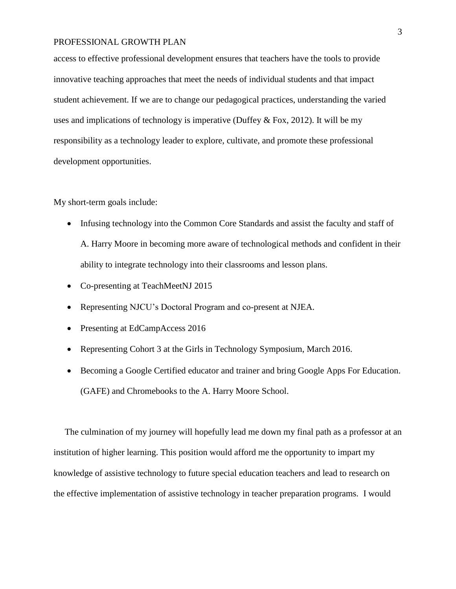## PROFESSIONAL GROWTH PLAN

access to effective professional development ensures that teachers have the tools to provide innovative teaching approaches that meet the needs of individual students and that impact student achievement. If we are to change our pedagogical practices, understanding the varied uses and implications of technology is imperative (Duffey & Fox, 2012). It will be my responsibility as a technology leader to explore, cultivate, and promote these professional development opportunities.

My short-term goals include:

- Infusing technology into the Common Core Standards and assist the faculty and staff of A. Harry Moore in becoming more aware of technological methods and confident in their ability to integrate technology into their classrooms and lesson plans.
- Co-presenting at TeachMeetNJ 2015
- Representing NJCU's Doctoral Program and co-present at NJEA.
- Presenting at EdCampAccess 2016
- Representing Cohort 3 at the Girls in Technology Symposium, March 2016.
- Becoming a Google Certified educator and trainer and bring Google Apps For Education. (GAFE) and Chromebooks to the A. Harry Moore School.

 The culmination of my journey will hopefully lead me down my final path as a professor at an institution of higher learning. This position would afford me the opportunity to impart my knowledge of assistive technology to future special education teachers and lead to research on the effective implementation of assistive technology in teacher preparation programs. I would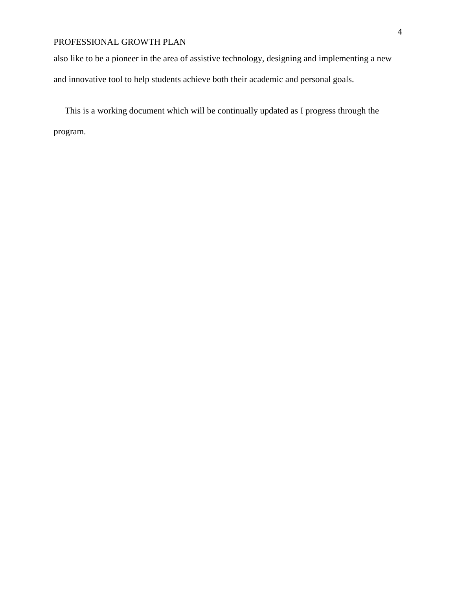## PROFESSIONAL GROWTH PLAN

also like to be a pioneer in the area of assistive technology, designing and implementing a new and innovative tool to help students achieve both their academic and personal goals.

 This is a working document which will be continually updated as I progress through the program.